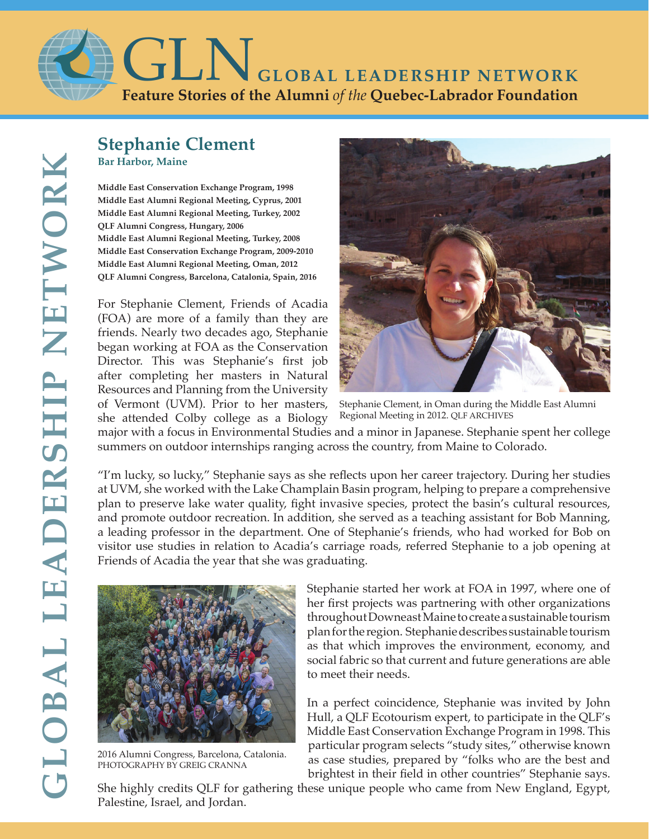

## **Stephanie Clement Bar Harbor, Maine**

**Middle East Conservation Exchange Program, 1998 Middle East Alumni Regional Meeting, Cyprus, 2001 Middle East Alumni Regional Meeting, Turkey, 2002 QLF Alumni Congress, Hungary, 2006 Middle East Alumni Regional Meeting, Turkey, 2008 Middle East Conservation Exchange Program, 2009-2010 Middle East Alumni Regional Meeting, Oman, 2012 QLF Alumni Congress, Barcelona, Catalonia, Spain, 2016**

For Stephanie Clement, Friends of Acadia (FOA) are more of a family than they are friends. Nearly two decades ago, Stephanie began working at FOA as the Conservation Director. This was Stephanie's first job after completing her masters in Natural Resources and Planning from the University of Vermont (UVM). Prior to her masters, she attended Colby college as a Biology



Stephanie Clement, in Oman during the Middle East Alumni Regional Meeting in 2012. QLF ARCHIVES

major with a focus in Environmental Studies and a minor in Japanese. Stephanie spent her college summers on outdoor internships ranging across the country, from Maine to Colorado.

"I'm lucky, so lucky," Stephanie says as she reflects upon her career trajectory. During her studies at UVM, she worked with the Lake Champlain Basin program, helping to prepare a comprehensive plan to preserve lake water quality, fight invasive species, protect the basin's cultural resources, and promote outdoor recreation. In addition, she served as a teaching assistant for Bob Manning, a leading professor in the department. One of Stephanie's friends, who had worked for Bob on visitor use studies in relation to Acadia's carriage roads, referred Stephanie to a job opening at Friends of Acadia the year that she was graduating.



2016 Alumni Congress, Barcelona, Catalonia. PHOTOGRAPHY BY GREIG CRANNA

Stephanie started her work at FOA in 1997, where one of her first projects was partnering with other organizations throughout Downeast Maine to create a sustainable tourism plan for the region. Stephanie describes sustainable tourism as that which improves the environment, economy, and social fabric so that current and future generations are able to meet their needs.

In a perfect coincidence, Stephanie was invited by John Hull, a QLF Ecotourism expert, to participate in the QLF's Middle East Conservation Exchange Program in 1998. This particular program selects "study sites," otherwise known as case studies, prepared by "folks who are the best and brightest in their field in other countries" Stephanie says.

She highly credits QLF for gathering these unique people who came from New England, Egypt, Palestine, Israel, and Jordan.